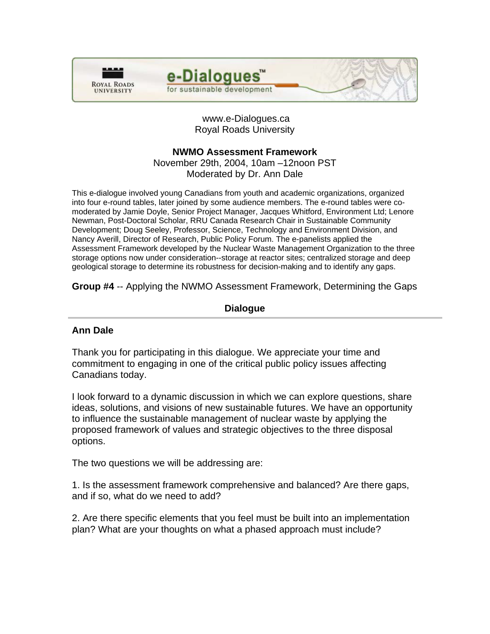



 www.e-Dialogues.ca Royal Roads University

# **NWMO Assessment Framework**

November 29th, 2004, 10am –12noon PST Moderated by Dr. Ann Dale

This e-dialogue involved young Canadians from youth and academic organizations, organized into four e-round tables, later joined by some audience members. The e-round tables were comoderated by Jamie Doyle, Senior Project Manager, Jacques Whitford, Environment Ltd; Lenore Newman, Post-Doctoral Scholar, RRU Canada Research Chair in Sustainable Community Development; Doug Seeley, Professor, Science, Technology and Environment Division, and Nancy Averill, Director of Research, Public Policy Forum. The e-panelists applied the Assessment Framework developed by the Nuclear Waste Management Organization to the three storage options now under consideration--storage at reactor sites; centralized storage and deep geological storage to determine its robustness for decision-making and to identify any gaps.

**Group #4** -- Applying the NWMO Assessment Framework, Determining the Gaps

# **Dialogue**

# **Ann Dale**

Thank you for participating in this dialogue. We appreciate your time and commitment to engaging in one of the critical public policy issues affecting Canadians today.

I look forward to a dynamic discussion in which we can explore questions, share ideas, solutions, and visions of new sustainable futures. We have an opportunity to influence the sustainable management of nuclear waste by applying the proposed framework of values and strategic objectives to the three disposal options.

The two questions we will be addressing are:

1. Is the assessment framework comprehensive and balanced? Are there gaps, and if so, what do we need to add?

2. Are there specific elements that you feel must be built into an implementation plan? What are your thoughts on what a phased approach must include?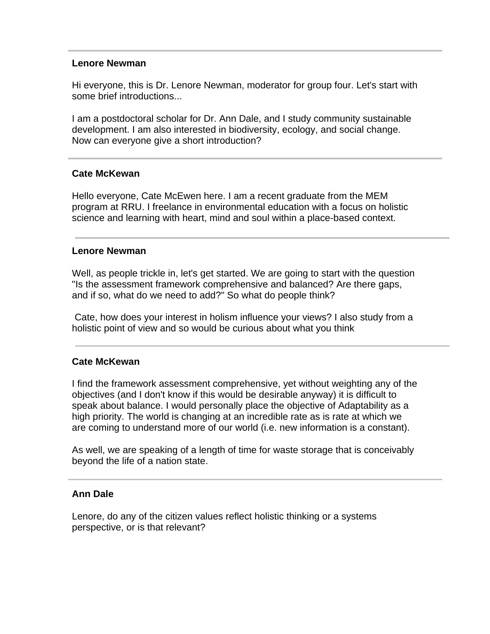# **Lenore Newman**

Hi everyone, this is Dr. Lenore Newman, moderator for group four. Let's start with some brief introductions...

I am a postdoctoral scholar for Dr. Ann Dale, and I study community sustainable development. I am also interested in biodiversity, ecology, and social change. Now can everyone give a short introduction?

# **Cate McKewan**

Hello everyone, Cate McEwen here. I am a recent graduate from the MEM program at RRU. I freelance in environmental education with a focus on holistic science and learning with heart, mind and soul within a place-based context.

#### **Lenore Newman**

Well, as people trickle in, let's get started. We are going to start with the question "Is the assessment framework comprehensive and balanced? Are there gaps, and if so, what do we need to add?" So what do people think?

 Cate, how does your interest in holism influence your views? I also study from a holistic point of view and so would be curious about what you think

# **Cate McKewan**

I find the framework assessment comprehensive, yet without weighting any of the objectives (and I don't know if this would be desirable anyway) it is difficult to speak about balance. I would personally place the objective of Adaptability as a high priority. The world is changing at an incredible rate as is rate at which we are coming to understand more of our world (i.e. new information is a constant).

As well, we are speaking of a length of time for waste storage that is conceivably beyond the life of a nation state.

#### **Ann Dale**

Lenore, do any of the citizen values reflect holistic thinking or a systems perspective, or is that relevant?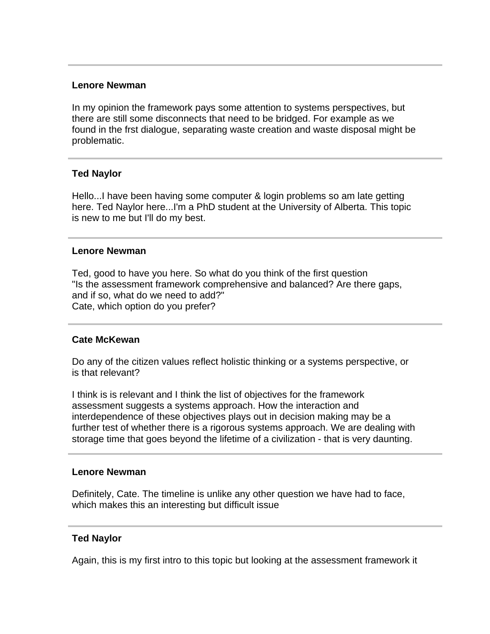# **Lenore Newman**

In my opinion the framework pays some attention to systems perspectives, but there are still some disconnects that need to be bridged. For example as we found in the frst dialogue, separating waste creation and waste disposal might be problematic.

# **Ted Naylor**

Hello...I have been having some computer & login problems so am late getting here. Ted Naylor here...I'm a PhD student at the University of Alberta. This topic is new to me but I'll do my best.

# **Lenore Newman**

Ted, good to have you here. So what do you think of the first question "Is the assessment framework comprehensive and balanced? Are there gaps, and if so, what do we need to add?" Cate, which option do you prefer?

# **Cate McKewan**

Do any of the citizen values reflect holistic thinking or a systems perspective, or is that relevant?

I think is is relevant and I think the list of objectives for the framework assessment suggests a systems approach. How the interaction and interdependence of these objectives plays out in decision making may be a further test of whether there is a rigorous systems approach. We are dealing with storage time that goes beyond the lifetime of a civilization - that is very daunting.

# **Lenore Newman**

Definitely, Cate. The timeline is unlike any other question we have had to face, which makes this an interesting but difficult issue

# **Ted Naylor**

Again, this is my first intro to this topic but looking at the assessment framework it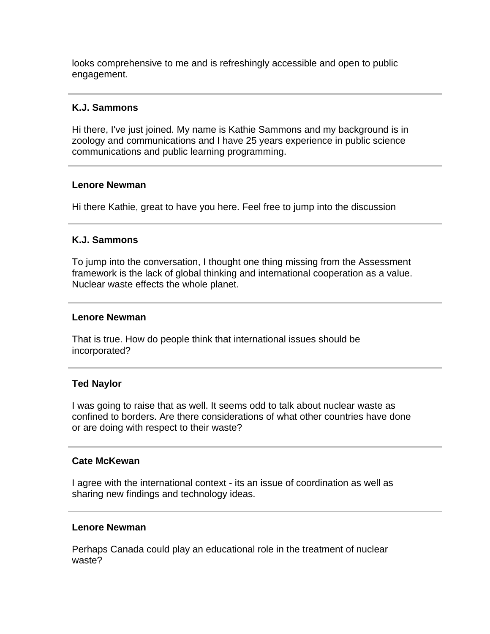looks comprehensive to me and is refreshingly accessible and open to public engagement.

# **K.J. Sammons**

Hi there, I've just joined. My name is Kathie Sammons and my background is in zoology and communications and I have 25 years experience in public science communications and public learning programming.

# **Lenore Newman**

Hi there Kathie, great to have you here. Feel free to jump into the discussion

# **K.J. Sammons**

To jump into the conversation, I thought one thing missing from the Assessment framework is the lack of global thinking and international cooperation as a value. Nuclear waste effects the whole planet.

# **Lenore Newman**

That is true. How do people think that international issues should be incorporated?

# **Ted Naylor**

I was going to raise that as well. It seems odd to talk about nuclear waste as confined to borders. Are there considerations of what other countries have done or are doing with respect to their waste?

# **Cate McKewan**

I agree with the international context - its an issue of coordination as well as sharing new findings and technology ideas.

# **Lenore Newman**

Perhaps Canada could play an educational role in the treatment of nuclear waste?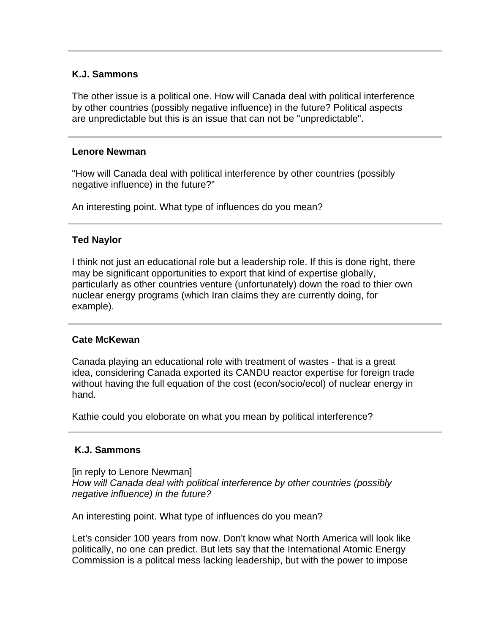# **K.J. Sammons**

The other issue is a political one. How will Canada deal with political interference by other countries (possibly negative influence) in the future? Political aspects are unpredictable but this is an issue that can not be "unpredictable".

# **Lenore Newman**

"How will Canada deal with political interference by other countries (possibly negative influence) in the future?"

An interesting point. What type of influences do you mean?

# **Ted Naylor**

I think not just an educational role but a leadership role. If this is done right, there may be significant opportunities to export that kind of expertise globally, particularly as other countries venture (unfortunately) down the road to thier own nuclear energy programs (which Iran claims they are currently doing, for example).

# **Cate McKewan**

Canada playing an educational role with treatment of wastes - that is a great idea, considering Canada exported its CANDU reactor expertise for foreign trade without having the full equation of the cost (econ/socio/ecol) of nuclear energy in hand.

Kathie could you eloborate on what you mean by political interference?

# **K.J. Sammons**

[in reply to Lenore Newman] *How will Canada deal with political interference by other countries (possibly negative influence) in the future?*

An interesting point. What type of influences do you mean?

Let's consider 100 years from now. Don't know what North America will look like politically, no one can predict. But lets say that the International Atomic Energy Commission is a politcal mess lacking leadership, but with the power to impose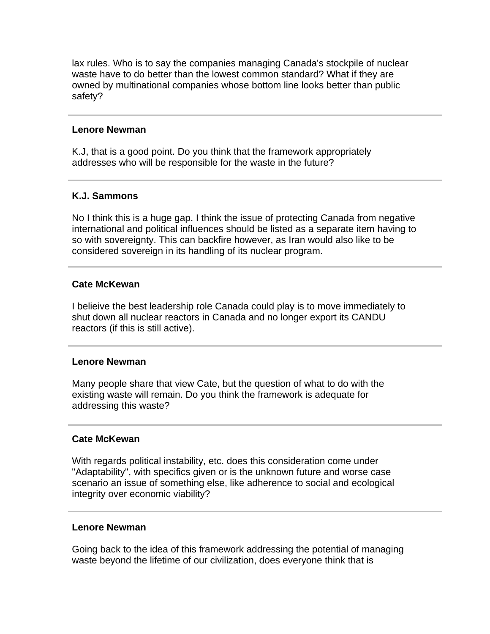lax rules. Who is to say the companies managing Canada's stockpile of nuclear waste have to do better than the lowest common standard? What if they are owned by multinational companies whose bottom line looks better than public safety?

# **Lenore Newman**

K.J, that is a good point. Do you think that the framework appropriately addresses who will be responsible for the waste in the future?

# **K.J. Sammons**

No I think this is a huge gap. I think the issue of protecting Canada from negative international and political influences should be listed as a separate item having to so with sovereignty. This can backfire however, as Iran would also like to be considered sovereign in its handling of its nuclear program.

# **Cate McKewan**

I belieive the best leadership role Canada could play is to move immediately to shut down all nuclear reactors in Canada and no longer export its CANDU reactors (if this is still active).

# **Lenore Newman**

Many people share that view Cate, but the question of what to do with the existing waste will remain. Do you think the framework is adequate for addressing this waste?

# **Cate McKewan**

With regards political instability, etc. does this consideration come under "Adaptability", with specifics given or is the unknown future and worse case scenario an issue of something else, like adherence to social and ecological integrity over economic viability?

# **Lenore Newman**

Going back to the idea of this framework addressing the potential of managing waste beyond the lifetime of our civilization, does everyone think that is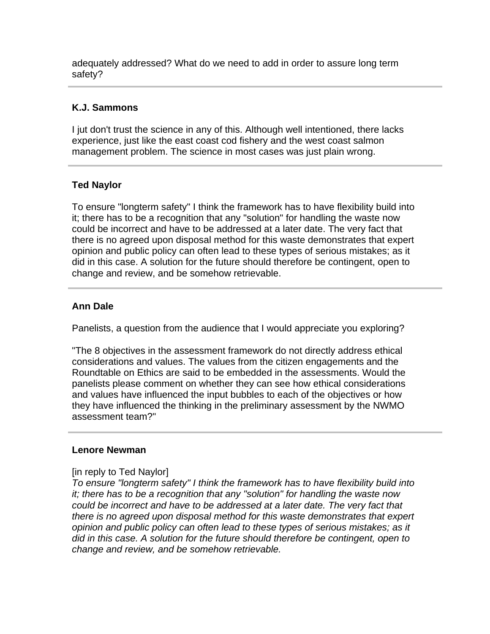adequately addressed? What do we need to add in order to assure long term safety?

# **K.J. Sammons**

I jut don't trust the science in any of this. Although well intentioned, there lacks experience, just like the east coast cod fishery and the west coast salmon management problem. The science in most cases was just plain wrong.

# **Ted Naylor**

To ensure "longterm safety" I think the framework has to have flexibility build into it; there has to be a recognition that any "solution" for handling the waste now could be incorrect and have to be addressed at a later date. The very fact that there is no agreed upon disposal method for this waste demonstrates that expert opinion and public policy can often lead to these types of serious mistakes; as it did in this case. A solution for the future should therefore be contingent, open to change and review, and be somehow retrievable.

# **Ann Dale**

Panelists, a question from the audience that I would appreciate you exploring?

"The 8 objectives in the assessment framework do not directly address ethical considerations and values. The values from the citizen engagements and the Roundtable on Ethics are said to be embedded in the assessments. Would the panelists please comment on whether they can see how ethical considerations and values have influenced the input bubbles to each of the objectives or how they have influenced the thinking in the preliminary assessment by the NWMO assessment team?"

# **Lenore Newman**

# [in reply to Ted Naylor]

*To ensure "longterm safety" I think the framework has to have flexibility build into it; there has to be a recognition that any "solution" for handling the waste now could be incorrect and have to be addressed at a later date. The very fact that there is no agreed upon disposal method for this waste demonstrates that expert opinion and public policy can often lead to these types of serious mistakes; as it did in this case. A solution for the future should therefore be contingent, open to change and review, and be somehow retrievable.*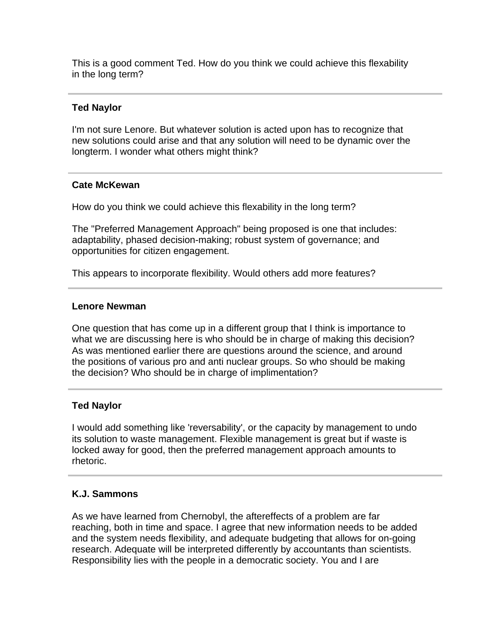This is a good comment Ted. How do you think we could achieve this flexability in the long term?

# **Ted Naylor**

I'm not sure Lenore. But whatever solution is acted upon has to recognize that new solutions could arise and that any solution will need to be dynamic over the longterm. I wonder what others might think?

# **Cate McKewan**

How do you think we could achieve this flexability in the long term?

The "Preferred Management Approach" being proposed is one that includes: adaptability, phased decision-making; robust system of governance; and opportunities for citizen engagement.

This appears to incorporate flexibility. Would others add more features?

# **Lenore Newman**

One question that has come up in a different group that I think is importance to what we are discussing here is who should be in charge of making this decision? As was mentioned earlier there are questions around the science, and around the positions of various pro and anti nuclear groups. So who should be making the decision? Who should be in charge of implimentation?

# **Ted Naylor**

I would add something like 'reversability', or the capacity by management to undo its solution to waste management. Flexible management is great but if waste is locked away for good, then the preferred management approach amounts to rhetoric.

# **K.J. Sammons**

As we have learned from Chernobyl, the aftereffects of a problem are far reaching, both in time and space. I agree that new information needs to be added and the system needs flexibility, and adequate budgeting that allows for on-going research. Adequate will be interpreted differently by accountants than scientists. Responsibility lies with the people in a democratic society. You and I are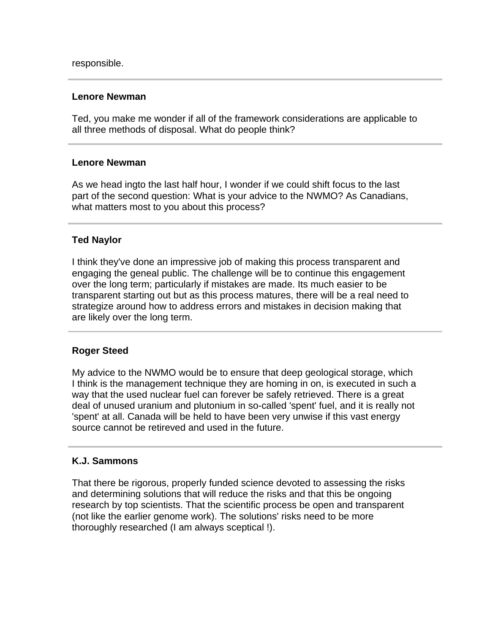# **Lenore Newman**

Ted, you make me wonder if all of the framework considerations are applicable to all three methods of disposal. What do people think?

# **Lenore Newman**

As we head ingto the last half hour, I wonder if we could shift focus to the last part of the second question: What is your advice to the NWMO? As Canadians, what matters most to you about this process?

# **Ted Naylor**

I think they've done an impressive job of making this process transparent and engaging the geneal public. The challenge will be to continue this engagement over the long term; particularly if mistakes are made. Its much easier to be transparent starting out but as this process matures, there will be a real need to strategize around how to address errors and mistakes in decision making that are likely over the long term.

# **Roger Steed**

My advice to the NWMO would be to ensure that deep geological storage, which I think is the management technique they are homing in on, is executed in such a way that the used nuclear fuel can forever be safely retrieved. There is a great deal of unused uranium and plutonium in so-called 'spent' fuel, and it is really not 'spent' at all. Canada will be held to have been very unwise if this vast energy source cannot be retireved and used in the future.

# **K.J. Sammons**

That there be rigorous, properly funded science devoted to assessing the risks and determining solutions that will reduce the risks and that this be ongoing research by top scientists. That the scientific process be open and transparent (not like the earlier genome work). The solutions' risks need to be more thoroughly researched (I am always sceptical !).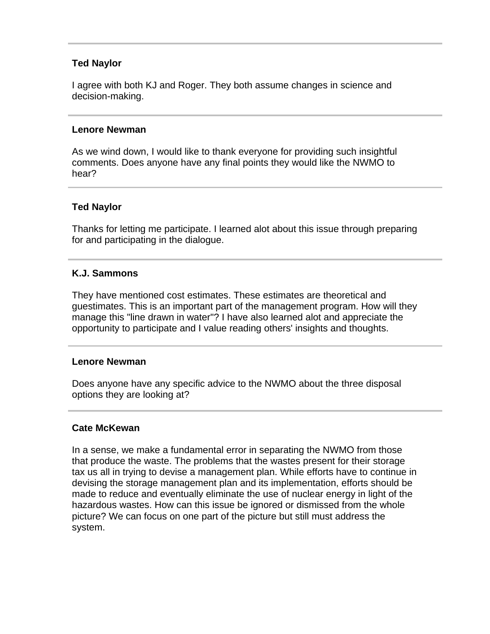# **Ted Naylor**

I agree with both KJ and Roger. They both assume changes in science and decision-making.

# **Lenore Newman**

As we wind down, I would like to thank everyone for providing such insightful comments. Does anyone have any final points they would like the NWMO to hear?

# **Ted Naylor**

Thanks for letting me participate. I learned alot about this issue through preparing for and participating in the dialogue.

# **K.J. Sammons**

They have mentioned cost estimates. These estimates are theoretical and guestimates. This is an important part of the management program. How will they manage this "line drawn in water"? I have also learned alot and appreciate the opportunity to participate and I value reading others' insights and thoughts.

# **Lenore Newman**

Does anyone have any specific advice to the NWMO about the three disposal options they are looking at?

# **Cate McKewan**

In a sense, we make a fundamental error in separating the NWMO from those that produce the waste. The problems that the wastes present for their storage tax us all in trying to devise a management plan. While efforts have to continue in devising the storage management plan and its implementation, efforts should be made to reduce and eventually eliminate the use of nuclear energy in light of the hazardous wastes. How can this issue be ignored or dismissed from the whole picture? We can focus on one part of the picture but still must address the system.